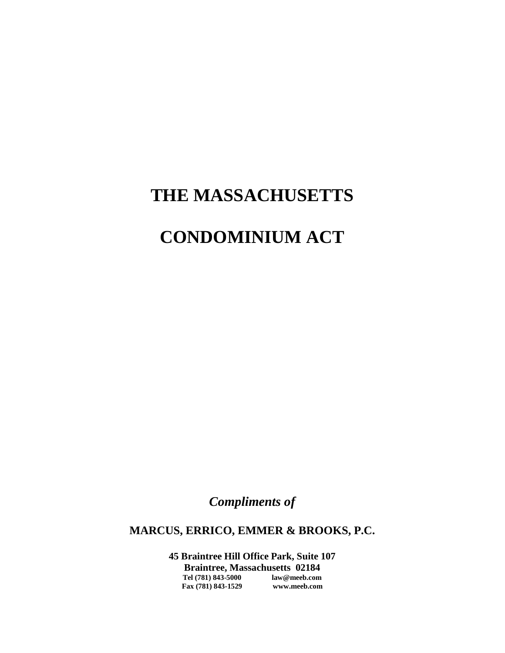# **THE MASSACHUSETTS**

# **CONDOMINIUM ACT**

*Compliments of*

**MARCUS, ERRICO, EMMER & BROOKS, P.C.**

**45 Braintree Hill Office Park, Suite 107 Braintree, Massachusetts 02184 Tel (781) 843-5000 law@meeb.com Fax (781) 843-1529 www.meeb.com**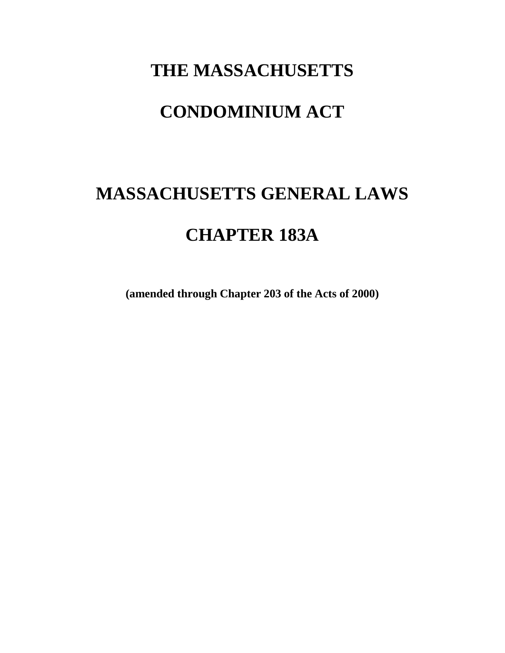# **THE MASSACHUSETTS**

# **CONDOMINIUM ACT**

# **MASSACHUSETTS GENERAL LAWS CHAPTER 183A**

**(amended through Chapter 203 of the Acts of 2000)**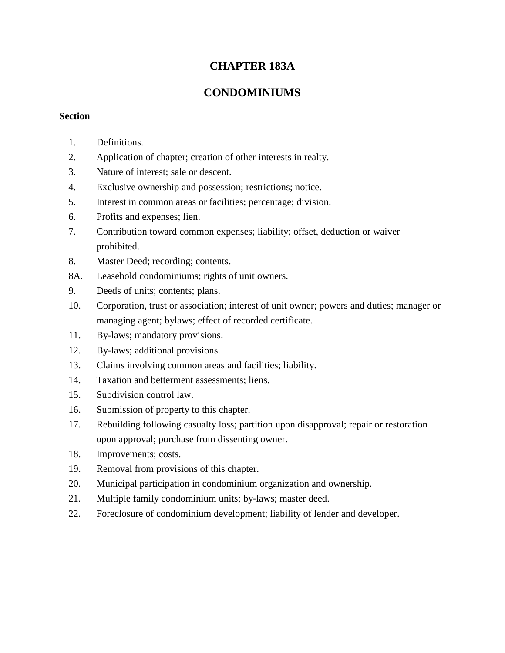# **CHAPTER 183A**

# **CONDOMINIUMS**

## **Section**

- 1. Definitions.
- 2. Application of chapter; creation of other interests in realty.
- 3. Nature of interest; sale or descent.
- 4. Exclusive ownership and possession; restrictions; notice.
- 5. Interest in common areas or facilities; percentage; division.
- 6. Profits and expenses; lien.
- 7. Contribution toward common expenses; liability; offset, deduction or waiver prohibited.
- 8. Master Deed; recording; contents.
- 8A. Leasehold condominiums; rights of unit owners.
- 9. Deeds of units; contents; plans.
- 10. Corporation, trust or association; interest of unit owner; powers and duties; manager or managing agent; bylaws; effect of recorded certificate.
- 11. By-laws; mandatory provisions.
- 12. By-laws; additional provisions.
- 13. Claims involving common areas and facilities; liability.
- 14. Taxation and betterment assessments; liens.
- 15. Subdivision control law.
- 16. Submission of property to this chapter.
- 17. Rebuilding following casualty loss; partition upon disapproval; repair or restoration upon approval; purchase from dissenting owner.
- 18. Improvements; costs.
- 19. Removal from provisions of this chapter.
- 20. Municipal participation in condominium organization and ownership.
- 21. Multiple family condominium units; by-laws; master deed.
- 22. Foreclosure of condominium development; liability of lender and developer.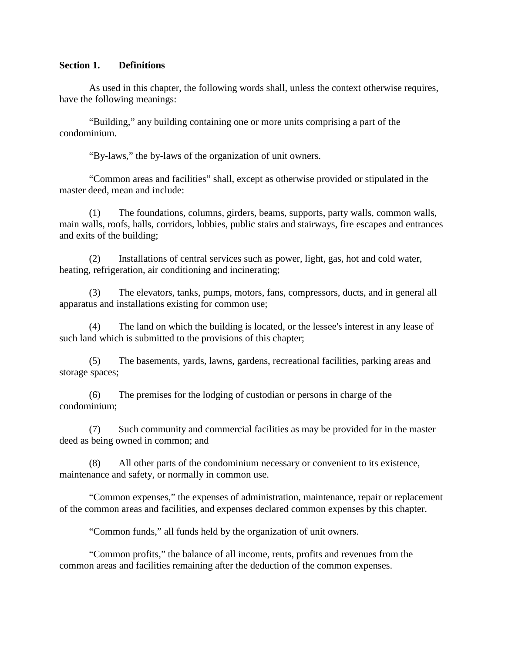#### **Section 1. Definitions**

As used in this chapter, the following words shall, unless the context otherwise requires, have the following meanings:

"Building," any building containing one or more units comprising a part of the condominium.

"By-laws," the by-laws of the organization of unit owners.

"Common areas and facilities" shall, except as otherwise provided or stipulated in the master deed, mean and include:

(1) The foundations, columns, girders, beams, supports, party walls, common walls, main walls, roofs, halls, corridors, lobbies, public stairs and stairways, fire escapes and entrances and exits of the building;

(2) Installations of central services such as power, light, gas, hot and cold water, heating, refrigeration, air conditioning and incinerating;

(3) The elevators, tanks, pumps, motors, fans, compressors, ducts, and in general all apparatus and installations existing for common use;

(4) The land on which the building is located, or the lessee's interest in any lease of such land which is submitted to the provisions of this chapter;

(5) The basements, yards, lawns, gardens, recreational facilities, parking areas and storage spaces;

(6) The premises for the lodging of custodian or persons in charge of the condominium;

(7) Such community and commercial facilities as may be provided for in the master deed as being owned in common; and

(8) All other parts of the condominium necessary or convenient to its existence, maintenance and safety, or normally in common use.

"Common expenses," the expenses of administration, maintenance, repair or replacement of the common areas and facilities, and expenses declared common expenses by this chapter.

"Common funds," all funds held by the organization of unit owners.

"Common profits," the balance of all income, rents, profits and revenues from the common areas and facilities remaining after the deduction of the common expenses.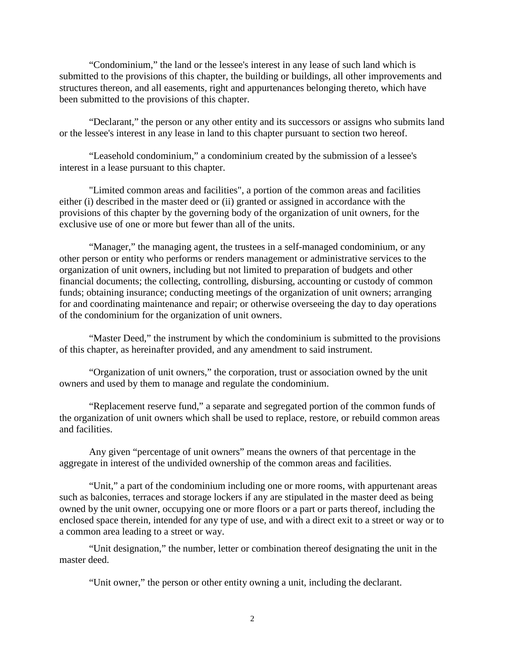"Condominium," the land or the lessee's interest in any lease of such land which is submitted to the provisions of this chapter, the building or buildings, all other improvements and structures thereon, and all easements, right and appurtenances belonging thereto, which have been submitted to the provisions of this chapter.

"Declarant," the person or any other entity and its successors or assigns who submits land or the lessee's interest in any lease in land to this chapter pursuant to section two hereof.

"Leasehold condominium," a condominium created by the submission of a lessee's interest in a lease pursuant to this chapter.

"Limited common areas and facilities", a portion of the common areas and facilities either (i) described in the master deed or (ii) granted or assigned in accordance with the provisions of this chapter by the governing body of the organization of unit owners, for the exclusive use of one or more but fewer than all of the units.

"Manager," the managing agent, the trustees in a self-managed condominium, or any other person or entity who performs or renders management or administrative services to the organization of unit owners, including but not limited to preparation of budgets and other financial documents; the collecting, controlling, disbursing, accounting or custody of common funds; obtaining insurance; conducting meetings of the organization of unit owners; arranging for and coordinating maintenance and repair; or otherwise overseeing the day to day operations of the condominium for the organization of unit owners.

"Master Deed," the instrument by which the condominium is submitted to the provisions of this chapter, as hereinafter provided, and any amendment to said instrument.

"Organization of unit owners," the corporation, trust or association owned by the unit owners and used by them to manage and regulate the condominium.

"Replacement reserve fund," a separate and segregated portion of the common funds of the organization of unit owners which shall be used to replace, restore, or rebuild common areas and facilities.

Any given "percentage of unit owners" means the owners of that percentage in the aggregate in interest of the undivided ownership of the common areas and facilities.

"Unit," a part of the condominium including one or more rooms, with appurtenant areas such as balconies, terraces and storage lockers if any are stipulated in the master deed as being owned by the unit owner, occupying one or more floors or a part or parts thereof, including the enclosed space therein, intended for any type of use, and with a direct exit to a street or way or to a common area leading to a street or way.

"Unit designation," the number, letter or combination thereof designating the unit in the master deed.

"Unit owner," the person or other entity owning a unit, including the declarant.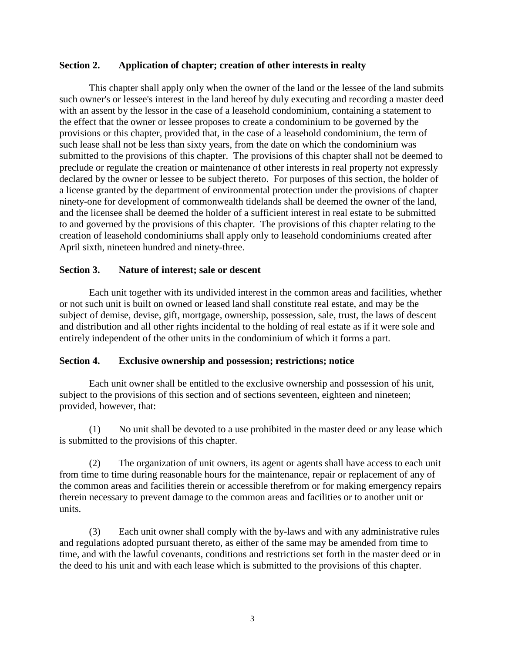## **Section 2. Application of chapter; creation of other interests in realty**

This chapter shall apply only when the owner of the land or the lessee of the land submits such owner's or lessee's interest in the land hereof by duly executing and recording a master deed with an assent by the lessor in the case of a leasehold condominium, containing a statement to the effect that the owner or lessee proposes to create a condominium to be governed by the provisions or this chapter, provided that, in the case of a leasehold condominium, the term of such lease shall not be less than sixty years, from the date on which the condominium was submitted to the provisions of this chapter. The provisions of this chapter shall not be deemed to preclude or regulate the creation or maintenance of other interests in real property not expressly declared by the owner or lessee to be subject thereto. For purposes of this section, the holder of a license granted by the department of environmental protection under the provisions of chapter ninety-one for development of commonwealth tidelands shall be deemed the owner of the land, and the licensee shall be deemed the holder of a sufficient interest in real estate to be submitted to and governed by the provisions of this chapter. The provisions of this chapter relating to the creation of leasehold condominiums shall apply only to leasehold condominiums created after April sixth, nineteen hundred and ninety-three.

## **Section 3. Nature of interest; sale or descent**

Each unit together with its undivided interest in the common areas and facilities, whether or not such unit is built on owned or leased land shall constitute real estate, and may be the subject of demise, devise, gift, mortgage, ownership, possession, sale, trust, the laws of descent and distribution and all other rights incidental to the holding of real estate as if it were sole and entirely independent of the other units in the condominium of which it forms a part.

#### **Section 4. Exclusive ownership and possession; restrictions; notice**

Each unit owner shall be entitled to the exclusive ownership and possession of his unit, subject to the provisions of this section and of sections seventeen, eighteen and nineteen; provided, however, that:

(1) No unit shall be devoted to a use prohibited in the master deed or any lease which is submitted to the provisions of this chapter.

(2) The organization of unit owners, its agent or agents shall have access to each unit from time to time during reasonable hours for the maintenance, repair or replacement of any of the common areas and facilities therein or accessible therefrom or for making emergency repairs therein necessary to prevent damage to the common areas and facilities or to another unit or units.

(3) Each unit owner shall comply with the by-laws and with any administrative rules and regulations adopted pursuant thereto, as either of the same may be amended from time to time, and with the lawful covenants, conditions and restrictions set forth in the master deed or in the deed to his unit and with each lease which is submitted to the provisions of this chapter.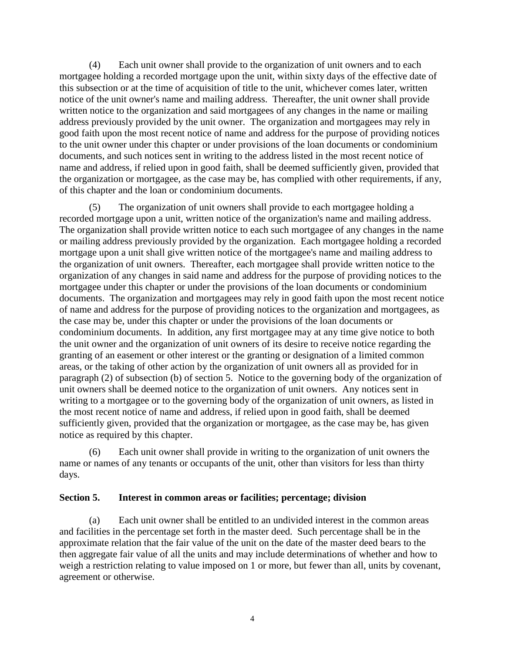(4) Each unit owner shall provide to the organization of unit owners and to each mortgagee holding a recorded mortgage upon the unit, within sixty days of the effective date of this subsection or at the time of acquisition of title to the unit, whichever comes later, written notice of the unit owner's name and mailing address. Thereafter, the unit owner shall provide written notice to the organization and said mortgagees of any changes in the name or mailing address previously provided by the unit owner. The organization and mortgagees may rely in good faith upon the most recent notice of name and address for the purpose of providing notices to the unit owner under this chapter or under provisions of the loan documents or condominium documents, and such notices sent in writing to the address listed in the most recent notice of name and address, if relied upon in good faith, shall be deemed sufficiently given, provided that the organization or mortgagee, as the case may be, has complied with other requirements, if any, of this chapter and the loan or condominium documents.

(5) The organization of unit owners shall provide to each mortgagee holding a recorded mortgage upon a unit, written notice of the organization's name and mailing address. The organization shall provide written notice to each such mortgagee of any changes in the name or mailing address previously provided by the organization. Each mortgagee holding a recorded mortgage upon a unit shall give written notice of the mortgagee's name and mailing address to the organization of unit owners. Thereafter, each mortgagee shall provide written notice to the organization of any changes in said name and address for the purpose of providing notices to the mortgagee under this chapter or under the provisions of the loan documents or condominium documents. The organization and mortgagees may rely in good faith upon the most recent notice of name and address for the purpose of providing notices to the organization and mortgagees, as the case may be, under this chapter or under the provisions of the loan documents or condominium documents. In addition, any first mortgagee may at any time give notice to both the unit owner and the organization of unit owners of its desire to receive notice regarding the granting of an easement or other interest or the granting or designation of a limited common areas, or the taking of other action by the organization of unit owners all as provided for in paragraph (2) of subsection (b) of section 5. Notice to the governing body of the organization of unit owners shall be deemed notice to the organization of unit owners. Any notices sent in writing to a mortgagee or to the governing body of the organization of unit owners, as listed in the most recent notice of name and address, if relied upon in good faith, shall be deemed sufficiently given, provided that the organization or mortgagee, as the case may be, has given notice as required by this chapter.

(6) Each unit owner shall provide in writing to the organization of unit owners the name or names of any tenants or occupants of the unit, other than visitors for less than thirty days.

#### **Section 5. Interest in common areas or facilities; percentage; division**

(a) Each unit owner shall be entitled to an undivided interest in the common areas and facilities in the percentage set forth in the master deed. Such percentage shall be in the approximate relation that the fair value of the unit on the date of the master deed bears to the then aggregate fair value of all the units and may include determinations of whether and how to weigh a restriction relating to value imposed on 1 or more, but fewer than all, units by covenant, agreement or otherwise.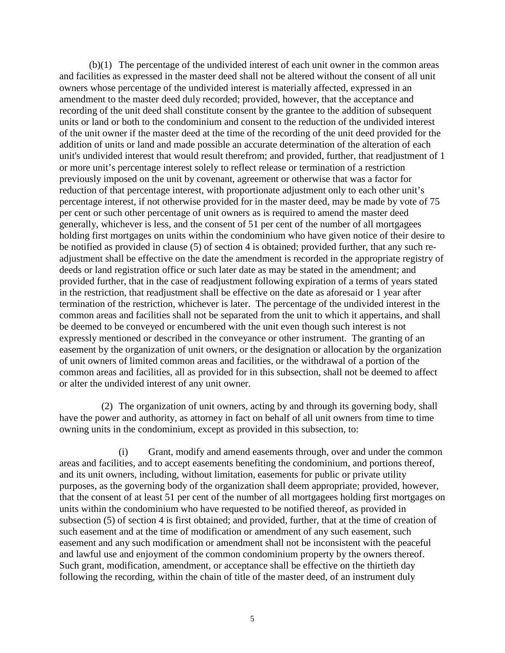(b)(1) The percentage of the undivided interest of each unit owner in the common areas and facilities as expressed in the master deed shall not be altered without the consent of all unit owners whose percentage of the undivided interest is materially affected, expressed in an amendment to the master deed duly recorded; provided, however, that the acceptance and recording of the unit deed shall constitute consent by the grantee to the addition of subsequent units or land or both to the condominium and consent to the reduction of the undivided interest of the unit owner if the master deed at the time of the recording of the unit deed provided for the addition of units or land and made possible an accurate determination of the alteration of each unit's undivided interest that would result therefrom; and provided, further, that readjustment of 1 or more unit's percentage interest solely to reflect release or termination of a restriction previously imposed on the unit by covenant, agreement or otherwise that was a factor for reduction of that percentage interest, with proportionate adjustment only to each other unit's percentage interest, if not otherwise provided for in the master deed, may be made by vote of 75 per cent or such other percentage of unit owners as is required to amend the master deed generally, whichever is less, and the consent of 51 per cent of the number of all mortgagees holding first mortgages on units within the condominium who have given notice of their desire to be notified as provided in clause (5) of section 4 is obtained; provided further, that any such readjustment shall be effective on the date the amendment is recorded in the appropriate registry of deeds or land registration office or such later date as may be stated in the amendment; and provided further, that in the case of readjustment following expiration of a terms of years stated in the restriction, that readjustment shall be effective on the date as aforesaid or 1 year after termination of the restriction, whichever is later. The percentage of the undivided interest in the common areas and facilities shall not be separated from the unit to which it appertains, and shall be deemed to be conveyed or encumbered with the unit even though such interest is not expressly mentioned or described in the conveyance or other instrument. The granting of an easement by the organization of unit owners, or the designation or allocation by the organization of unit owners of limited common areas and facilities, or the withdrawal of a portion of the common areas and facilities, all as provided for in this subsection, shall not be deemed to affect or alter the undivided interest of any unit owner.

 (2) The organization of unit owners, acting by and through its governing body, shall have the power and authority, as attorney in fact on behalf of all unit owners from time to time owning units in the condominium, except as provided in this subsection, to:

(i) Grant, modify and amend easements through, over and under the common areas and facilities, and to accept easements benefiting the condominium, and portions thereof, and its unit owners, including, without limitation, easements for public or private utility purposes, as the governing body of the organization shall deem appropriate; provided, however, that the consent of at least 51 per cent of the number of all mortgagees holding first mortgages on units within the condominium who have requested to be notified thereof, as provided in subsection (5) of section 4 is first obtained; and provided, further, that at the time of creation of such easement and at the time of modification or amendment of any such easement, such easement and any such modification or amendment shall not be inconsistent with the peaceful and lawful use and enjoyment of the common condominium property by the owners thereof. Such grant, modification, amendment, or acceptance shall be effective on the thirtieth day following the recording, within the chain of title of the master deed, of an instrument duly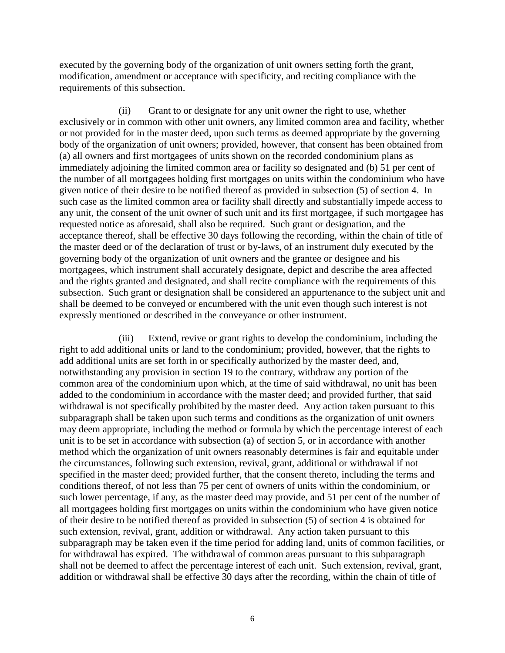executed by the governing body of the organization of unit owners setting forth the grant, modification, amendment or acceptance with specificity, and reciting compliance with the requirements of this subsection.

(ii) Grant to or designate for any unit owner the right to use, whether exclusively or in common with other unit owners, any limited common area and facility, whether or not provided for in the master deed, upon such terms as deemed appropriate by the governing body of the organization of unit owners; provided, however, that consent has been obtained from (a) all owners and first mortgagees of units shown on the recorded condominium plans as immediately adjoining the limited common area or facility so designated and (b) 51 per cent of the number of all mortgagees holding first mortgages on units within the condominium who have given notice of their desire to be notified thereof as provided in subsection (5) of section 4. In such case as the limited common area or facility shall directly and substantially impede access to any unit, the consent of the unit owner of such unit and its first mortgagee, if such mortgagee has requested notice as aforesaid, shall also be required. Such grant or designation, and the acceptance thereof, shall be effective 30 days following the recording, within the chain of title of the master deed or of the declaration of trust or by-laws, of an instrument duly executed by the governing body of the organization of unit owners and the grantee or designee and his mortgagees, which instrument shall accurately designate, depict and describe the area affected and the rights granted and designated, and shall recite compliance with the requirements of this subsection. Such grant or designation shall be considered an appurtenance to the subject unit and shall be deemed to be conveyed or encumbered with the unit even though such interest is not expressly mentioned or described in the conveyance or other instrument.

(iii) Extend, revive or grant rights to develop the condominium, including the right to add additional units or land to the condominium; provided, however, that the rights to add additional units are set forth in or specifically authorized by the master deed, and, notwithstanding any provision in section 19 to the contrary, withdraw any portion of the common area of the condominium upon which, at the time of said withdrawal, no unit has been added to the condominium in accordance with the master deed; and provided further, that said withdrawal is not specifically prohibited by the master deed. Any action taken pursuant to this subparagraph shall be taken upon such terms and conditions as the organization of unit owners may deem appropriate, including the method or formula by which the percentage interest of each unit is to be set in accordance with subsection (a) of section 5, or in accordance with another method which the organization of unit owners reasonably determines is fair and equitable under the circumstances, following such extension, revival, grant, additional or withdrawal if not specified in the master deed; provided further, that the consent thereto, including the terms and conditions thereof, of not less than 75 per cent of owners of units within the condominium, or such lower percentage, if any, as the master deed may provide, and 51 per cent of the number of all mortgagees holding first mortgages on units within the condominium who have given notice of their desire to be notified thereof as provided in subsection (5) of section 4 is obtained for such extension, revival, grant, addition or withdrawal. Any action taken pursuant to this subparagraph may be taken even if the time period for adding land, units of common facilities, or for withdrawal has expired. The withdrawal of common areas pursuant to this subparagraph shall not be deemed to affect the percentage interest of each unit. Such extension, revival, grant, addition or withdrawal shall be effective 30 days after the recording, within the chain of title of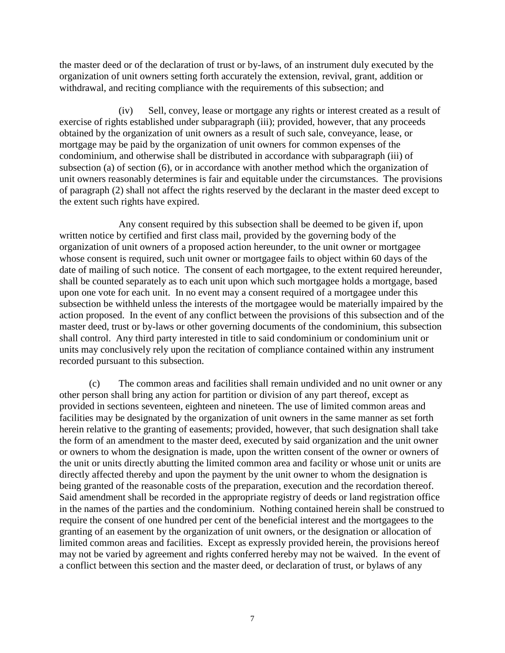the master deed or of the declaration of trust or by-laws, of an instrument duly executed by the organization of unit owners setting forth accurately the extension, revival, grant, addition or withdrawal, and reciting compliance with the requirements of this subsection; and

(iv) Sell, convey, lease or mortgage any rights or interest created as a result of exercise of rights established under subparagraph (iii); provided, however, that any proceeds obtained by the organization of unit owners as a result of such sale, conveyance, lease, or mortgage may be paid by the organization of unit owners for common expenses of the condominium, and otherwise shall be distributed in accordance with subparagraph (iii) of subsection (a) of section (6), or in accordance with another method which the organization of unit owners reasonably determines is fair and equitable under the circumstances. The provisions of paragraph (2) shall not affect the rights reserved by the declarant in the master deed except to the extent such rights have expired.

Any consent required by this subsection shall be deemed to be given if, upon written notice by certified and first class mail, provided by the governing body of the organization of unit owners of a proposed action hereunder, to the unit owner or mortgagee whose consent is required, such unit owner or mortgagee fails to object within 60 days of the date of mailing of such notice. The consent of each mortgagee, to the extent required hereunder, shall be counted separately as to each unit upon which such mortgagee holds a mortgage, based upon one vote for each unit. In no event may a consent required of a mortgagee under this subsection be withheld unless the interests of the mortgagee would be materially impaired by the action proposed. In the event of any conflict between the provisions of this subsection and of the master deed, trust or by-laws or other governing documents of the condominium, this subsection shall control. Any third party interested in title to said condominium or condominium unit or units may conclusively rely upon the recitation of compliance contained within any instrument recorded pursuant to this subsection.

(c) The common areas and facilities shall remain undivided and no unit owner or any other person shall bring any action for partition or division of any part thereof, except as provided in sections seventeen, eighteen and nineteen. The use of limited common areas and facilities may be designated by the organization of unit owners in the same manner as set forth herein relative to the granting of easements; provided, however, that such designation shall take the form of an amendment to the master deed, executed by said organization and the unit owner or owners to whom the designation is made, upon the written consent of the owner or owners of the unit or units directly abutting the limited common area and facility or whose unit or units are directly affected thereby and upon the payment by the unit owner to whom the designation is being granted of the reasonable costs of the preparation, execution and the recordation thereof. Said amendment shall be recorded in the appropriate registry of deeds or land registration office in the names of the parties and the condominium. Nothing contained herein shall be construed to require the consent of one hundred per cent of the beneficial interest and the mortgagees to the granting of an easement by the organization of unit owners, or the designation or allocation of limited common areas and facilities. Except as expressly provided herein, the provisions hereof may not be varied by agreement and rights conferred hereby may not be waived. In the event of a conflict between this section and the master deed, or declaration of trust, or bylaws of any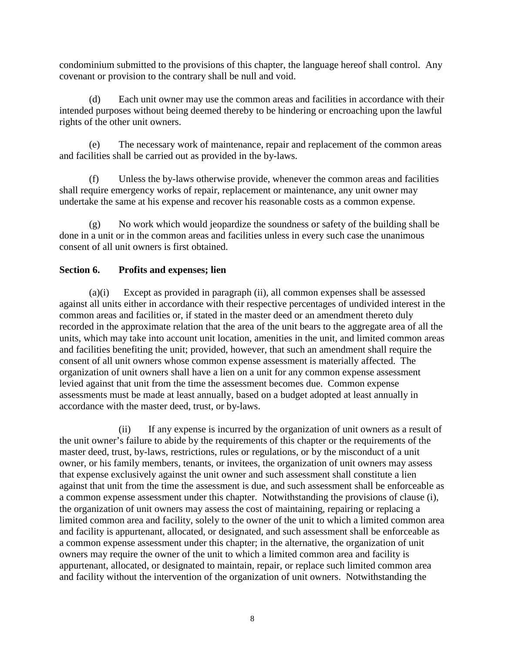condominium submitted to the provisions of this chapter, the language hereof shall control. Any covenant or provision to the contrary shall be null and void.

(d) Each unit owner may use the common areas and facilities in accordance with their intended purposes without being deemed thereby to be hindering or encroaching upon the lawful rights of the other unit owners.

(e) The necessary work of maintenance, repair and replacement of the common areas and facilities shall be carried out as provided in the by-laws.

(f) Unless the by-laws otherwise provide, whenever the common areas and facilities shall require emergency works of repair, replacement or maintenance, any unit owner may undertake the same at his expense and recover his reasonable costs as a common expense.

(g) No work which would jeopardize the soundness or safety of the building shall be done in a unit or in the common areas and facilities unless in every such case the unanimous consent of all unit owners is first obtained.

# **Section 6. Profits and expenses; lien**

(a)(i) Except as provided in paragraph (ii), all common expenses shall be assessed against all units either in accordance with their respective percentages of undivided interest in the common areas and facilities or, if stated in the master deed or an amendment thereto duly recorded in the approximate relation that the area of the unit bears to the aggregate area of all the units, which may take into account unit location, amenities in the unit, and limited common areas and facilities benefiting the unit; provided, however, that such an amendment shall require the consent of all unit owners whose common expense assessment is materially affected. The organization of unit owners shall have a lien on a unit for any common expense assessment levied against that unit from the time the assessment becomes due. Common expense assessments must be made at least annually, based on a budget adopted at least annually in accordance with the master deed, trust, or by-laws.

(ii) If any expense is incurred by the organization of unit owners as a result of the unit owner's failure to abide by the requirements of this chapter or the requirements of the master deed, trust, by-laws, restrictions, rules or regulations, or by the misconduct of a unit owner, or his family members, tenants, or invitees, the organization of unit owners may assess that expense exclusively against the unit owner and such assessment shall constitute a lien against that unit from the time the assessment is due, and such assessment shall be enforceable as a common expense assessment under this chapter. Notwithstanding the provisions of clause (i), the organization of unit owners may assess the cost of maintaining, repairing or replacing a limited common area and facility, solely to the owner of the unit to which a limited common area and facility is appurtenant, allocated, or designated, and such assessment shall be enforceable as a common expense assessment under this chapter; in the alternative, the organization of unit owners may require the owner of the unit to which a limited common area and facility is appurtenant, allocated, or designated to maintain, repair, or replace such limited common area and facility without the intervention of the organization of unit owners. Notwithstanding the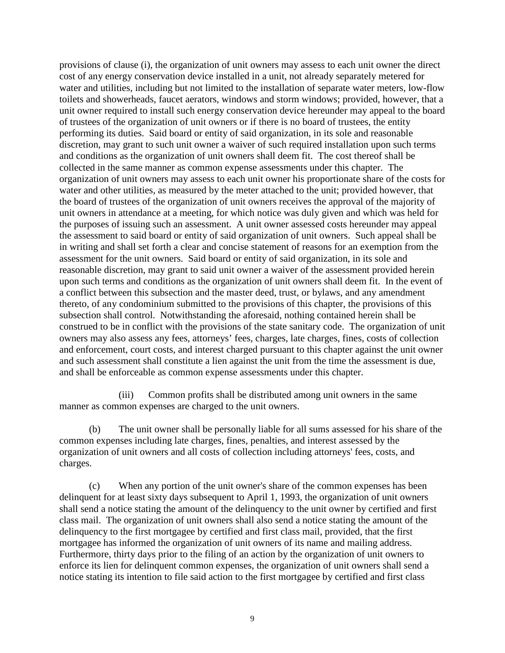provisions of clause (i), the organization of unit owners may assess to each unit owner the direct cost of any energy conservation device installed in a unit, not already separately metered for water and utilities, including but not limited to the installation of separate water meters, low-flow toilets and showerheads, faucet aerators, windows and storm windows; provided, however, that a unit owner required to install such energy conservation device hereunder may appeal to the board of trustees of the organization of unit owners or if there is no board of trustees, the entity performing its duties. Said board or entity of said organization, in its sole and reasonable discretion, may grant to such unit owner a waiver of such required installation upon such terms and conditions as the organization of unit owners shall deem fit. The cost thereof shall be collected in the same manner as common expense assessments under this chapter. The organization of unit owners may assess to each unit owner his proportionate share of the costs for water and other utilities, as measured by the meter attached to the unit; provided however, that the board of trustees of the organization of unit owners receives the approval of the majority of unit owners in attendance at a meeting, for which notice was duly given and which was held for the purposes of issuing such an assessment. A unit owner assessed costs hereunder may appeal the assessment to said board or entity of said organization of unit owners. Such appeal shall be in writing and shall set forth a clear and concise statement of reasons for an exemption from the assessment for the unit owners. Said board or entity of said organization, in its sole and reasonable discretion, may grant to said unit owner a waiver of the assessment provided herein upon such terms and conditions as the organization of unit owners shall deem fit. In the event of a conflict between this subsection and the master deed, trust, or bylaws, and any amendment thereto, of any condominium submitted to the provisions of this chapter, the provisions of this subsection shall control. Notwithstanding the aforesaid, nothing contained herein shall be construed to be in conflict with the provisions of the state sanitary code. The organization of unit owners may also assess any fees, attorneys' fees, charges, late charges, fines, costs of collection and enforcement, court costs, and interest charged pursuant to this chapter against the unit owner and such assessment shall constitute a lien against the unit from the time the assessment is due, and shall be enforceable as common expense assessments under this chapter.

(iii) Common profits shall be distributed among unit owners in the same manner as common expenses are charged to the unit owners.

(b) The unit owner shall be personally liable for all sums assessed for his share of the common expenses including late charges, fines, penalties, and interest assessed by the organization of unit owners and all costs of collection including attorneys' fees, costs, and charges.

(c) When any portion of the unit owner's share of the common expenses has been delinquent for at least sixty days subsequent to April 1, 1993, the organization of unit owners shall send a notice stating the amount of the delinquency to the unit owner by certified and first class mail. The organization of unit owners shall also send a notice stating the amount of the delinquency to the first mortgagee by certified and first class mail, provided, that the first mortgagee has informed the organization of unit owners of its name and mailing address. Furthermore, thirty days prior to the filing of an action by the organization of unit owners to enforce its lien for delinquent common expenses, the organization of unit owners shall send a notice stating its intention to file said action to the first mortgagee by certified and first class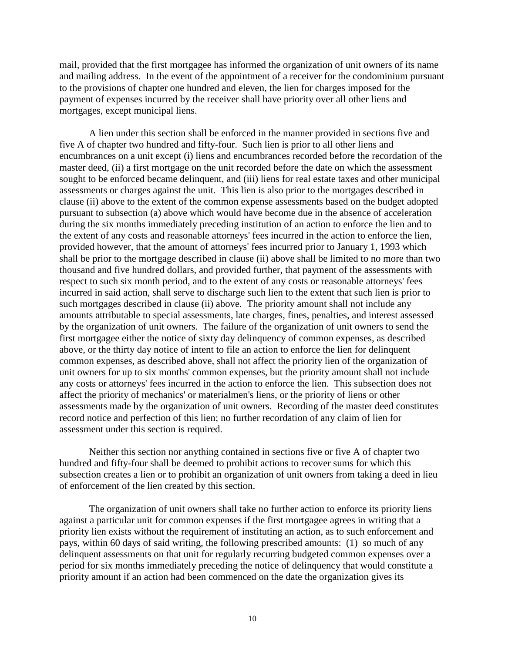mail, provided that the first mortgagee has informed the organization of unit owners of its name and mailing address. In the event of the appointment of a receiver for the condominium pursuant to the provisions of chapter one hundred and eleven, the lien for charges imposed for the payment of expenses incurred by the receiver shall have priority over all other liens and mortgages, except municipal liens.

A lien under this section shall be enforced in the manner provided in sections five and five A of chapter two hundred and fifty-four. Such lien is prior to all other liens and encumbrances on a unit except (i) liens and encumbrances recorded before the recordation of the master deed, (ii) a first mortgage on the unit recorded before the date on which the assessment sought to be enforced became delinquent, and (iii) liens for real estate taxes and other municipal assessments or charges against the unit. This lien is also prior to the mortgages described in clause (ii) above to the extent of the common expense assessments based on the budget adopted pursuant to subsection (a) above which would have become due in the absence of acceleration during the six months immediately preceding institution of an action to enforce the lien and to the extent of any costs and reasonable attorneys' fees incurred in the action to enforce the lien, provided however, that the amount of attorneys' fees incurred prior to January 1, 1993 which shall be prior to the mortgage described in clause (ii) above shall be limited to no more than two thousand and five hundred dollars, and provided further, that payment of the assessments with respect to such six month period, and to the extent of any costs or reasonable attorneys' fees incurred in said action, shall serve to discharge such lien to the extent that such lien is prior to such mortgages described in clause (ii) above. The priority amount shall not include any amounts attributable to special assessments, late charges, fines, penalties, and interest assessed by the organization of unit owners. The failure of the organization of unit owners to send the first mortgagee either the notice of sixty day delinquency of common expenses, as described above, or the thirty day notice of intent to file an action to enforce the lien for delinquent common expenses, as described above, shall not affect the priority lien of the organization of unit owners for up to six months' common expenses, but the priority amount shall not include any costs or attorneys' fees incurred in the action to enforce the lien. This subsection does not affect the priority of mechanics' or materialmen's liens, or the priority of liens or other assessments made by the organization of unit owners. Recording of the master deed constitutes record notice and perfection of this lien; no further recordation of any claim of lien for assessment under this section is required.

Neither this section nor anything contained in sections five or five A of chapter two hundred and fifty-four shall be deemed to prohibit actions to recover sums for which this subsection creates a lien or to prohibit an organization of unit owners from taking a deed in lieu of enforcement of the lien created by this section.

The organization of unit owners shall take no further action to enforce its priority liens against a particular unit for common expenses if the first mortgagee agrees in writing that a priority lien exists without the requirement of instituting an action, as to such enforcement and pays, within 60 days of said writing, the following prescribed amounts: (1) so much of any delinquent assessments on that unit for regularly recurring budgeted common expenses over a period for six months immediately preceding the notice of delinquency that would constitute a priority amount if an action had been commenced on the date the organization gives its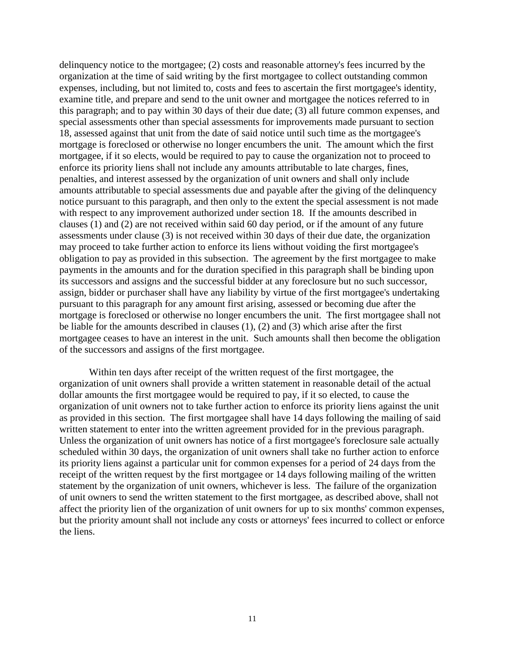delinquency notice to the mortgagee; (2) costs and reasonable attorney's fees incurred by the organization at the time of said writing by the first mortgagee to collect outstanding common expenses, including, but not limited to, costs and fees to ascertain the first mortgagee's identity, examine title, and prepare and send to the unit owner and mortgagee the notices referred to in this paragraph; and to pay within 30 days of their due date; (3) all future common expenses, and special assessments other than special assessments for improvements made pursuant to section 18, assessed against that unit from the date of said notice until such time as the mortgagee's mortgage is foreclosed or otherwise no longer encumbers the unit. The amount which the first mortgagee, if it so elects, would be required to pay to cause the organization not to proceed to enforce its priority liens shall not include any amounts attributable to late charges, fines, penalties, and interest assessed by the organization of unit owners and shall only include amounts attributable to special assessments due and payable after the giving of the delinquency notice pursuant to this paragraph, and then only to the extent the special assessment is not made with respect to any improvement authorized under section 18. If the amounts described in clauses (1) and (2) are not received within said 60 day period, or if the amount of any future assessments under clause (3) is not received within 30 days of their due date, the organization may proceed to take further action to enforce its liens without voiding the first mortgagee's obligation to pay as provided in this subsection. The agreement by the first mortgagee to make payments in the amounts and for the duration specified in this paragraph shall be binding upon its successors and assigns and the successful bidder at any foreclosure but no such successor, assign, bidder or purchaser shall have any liability by virtue of the first mortgagee's undertaking pursuant to this paragraph for any amount first arising, assessed or becoming due after the mortgage is foreclosed or otherwise no longer encumbers the unit. The first mortgagee shall not be liable for the amounts described in clauses (1), (2) and (3) which arise after the first mortgagee ceases to have an interest in the unit. Such amounts shall then become the obligation of the successors and assigns of the first mortgagee.

Within ten days after receipt of the written request of the first mortgagee, the organization of unit owners shall provide a written statement in reasonable detail of the actual dollar amounts the first mortgagee would be required to pay, if it so elected, to cause the organization of unit owners not to take further action to enforce its priority liens against the unit as provided in this section. The first mortgagee shall have 14 days following the mailing of said written statement to enter into the written agreement provided for in the previous paragraph. Unless the organization of unit owners has notice of a first mortgagee's foreclosure sale actually scheduled within 30 days, the organization of unit owners shall take no further action to enforce its priority liens against a particular unit for common expenses for a period of 24 days from the receipt of the written request by the first mortgagee or 14 days following mailing of the written statement by the organization of unit owners, whichever is less. The failure of the organization of unit owners to send the written statement to the first mortgagee, as described above, shall not affect the priority lien of the organization of unit owners for up to six months' common expenses, but the priority amount shall not include any costs or attorneys' fees incurred to collect or enforce the liens.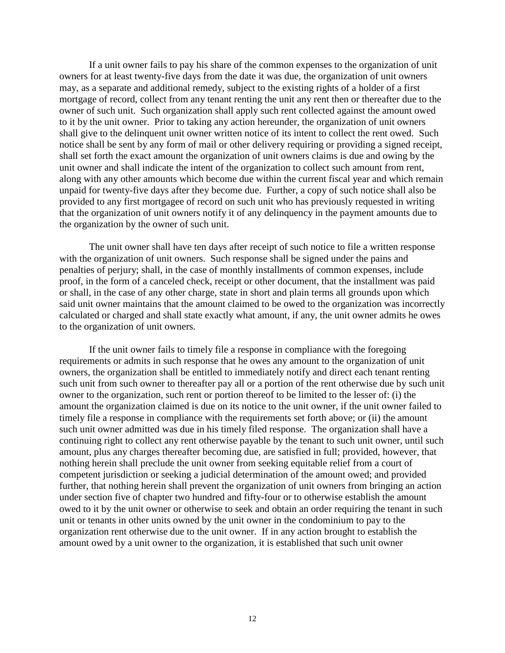If a unit owner fails to pay his share of the common expenses to the organization of unit owners for at least twenty-five days from the date it was due, the organization of unit owners may, as a separate and additional remedy, subject to the existing rights of a holder of a first mortgage of record, collect from any tenant renting the unit any rent then or thereafter due to the owner of such unit. Such organization shall apply such rent collected against the amount owed to it by the unit owner. Prior to taking any action hereunder, the organization of unit owners shall give to the delinquent unit owner written notice of its intent to collect the rent owed. Such notice shall be sent by any form of mail or other delivery requiring or providing a signed receipt, shall set forth the exact amount the organization of unit owners claims is due and owing by the unit owner and shall indicate the intent of the organization to collect such amount from rent, along with any other amounts which become due within the current fiscal year and which remain unpaid for twenty-five days after they become due. Further, a copy of such notice shall also be provided to any first mortgagee of record on such unit who has previously requested in writing that the organization of unit owners notify it of any delinquency in the payment amounts due to the organization by the owner of such unit.

The unit owner shall have ten days after receipt of such notice to file a written response with the organization of unit owners. Such response shall be signed under the pains and penalties of perjury; shall, in the case of monthly installments of common expenses, include proof, in the form of a canceled check, receipt or other document, that the installment was paid or shall, in the case of any other charge, state in short and plain terms all grounds upon which said unit owner maintains that the amount claimed to be owed to the organization was incorrectly calculated or charged and shall state exactly what amount, if any, the unit owner admits he owes to the organization of unit owners.

If the unit owner fails to timely file a response in compliance with the foregoing requirements or admits in such response that he owes any amount to the organization of unit owners, the organization shall be entitled to immediately notify and direct each tenant renting such unit from such owner to thereafter pay all or a portion of the rent otherwise due by such unit owner to the organization, such rent or portion thereof to be limited to the lesser of: (i) the amount the organization claimed is due on its notice to the unit owner, if the unit owner failed to timely file a response in compliance with the requirements set forth above; or (ii) the amount such unit owner admitted was due in his timely filed response. The organization shall have a continuing right to collect any rent otherwise payable by the tenant to such unit owner, until such amount, plus any charges thereafter becoming due, are satisfied in full; provided, however, that nothing herein shall preclude the unit owner from seeking equitable relief from a court of competent jurisdiction or seeking a judicial determination of the amount owed; and provided further, that nothing herein shall prevent the organization of unit owners from bringing an action under section five of chapter two hundred and fifty-four or to otherwise establish the amount owed to it by the unit owner or otherwise to seek and obtain an order requiring the tenant in such unit or tenants in other units owned by the unit owner in the condominium to pay to the organization rent otherwise due to the unit owner. If in any action brought to establish the amount owed by a unit owner to the organization, it is established that such unit owner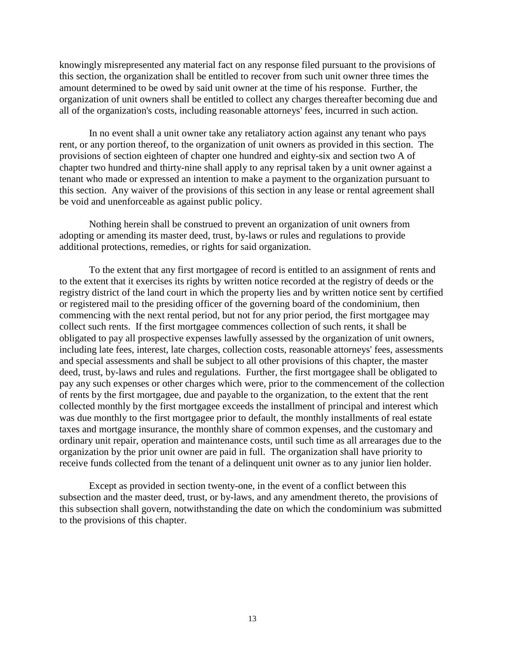knowingly misrepresented any material fact on any response filed pursuant to the provisions of this section, the organization shall be entitled to recover from such unit owner three times the amount determined to be owed by said unit owner at the time of his response. Further, the organization of unit owners shall be entitled to collect any charges thereafter becoming due and all of the organization's costs, including reasonable attorneys' fees, incurred in such action.

In no event shall a unit owner take any retaliatory action against any tenant who pays rent, or any portion thereof, to the organization of unit owners as provided in this section. The provisions of section eighteen of chapter one hundred and eighty-six and section two A of chapter two hundred and thirty-nine shall apply to any reprisal taken by a unit owner against a tenant who made or expressed an intention to make a payment to the organization pursuant to this section. Any waiver of the provisions of this section in any lease or rental agreement shall be void and unenforceable as against public policy.

Nothing herein shall be construed to prevent an organization of unit owners from adopting or amending its master deed, trust, by-laws or rules and regulations to provide additional protections, remedies, or rights for said organization.

To the extent that any first mortgagee of record is entitled to an assignment of rents and to the extent that it exercises its rights by written notice recorded at the registry of deeds or the registry district of the land court in which the property lies and by written notice sent by certified or registered mail to the presiding officer of the governing board of the condominium, then commencing with the next rental period, but not for any prior period, the first mortgagee may collect such rents. If the first mortgagee commences collection of such rents, it shall be obligated to pay all prospective expenses lawfully assessed by the organization of unit owners, including late fees, interest, late charges, collection costs, reasonable attorneys' fees, assessments and special assessments and shall be subject to all other provisions of this chapter, the master deed, trust, by-laws and rules and regulations. Further, the first mortgagee shall be obligated to pay any such expenses or other charges which were, prior to the commencement of the collection of rents by the first mortgagee, due and payable to the organization, to the extent that the rent collected monthly by the first mortgagee exceeds the installment of principal and interest which was due monthly to the first mortgagee prior to default, the monthly installments of real estate taxes and mortgage insurance, the monthly share of common expenses, and the customary and ordinary unit repair, operation and maintenance costs, until such time as all arrearages due to the organization by the prior unit owner are paid in full. The organization shall have priority to receive funds collected from the tenant of a delinquent unit owner as to any junior lien holder.

Except as provided in section twenty-one, in the event of a conflict between this subsection and the master deed, trust, or by-laws, and any amendment thereto, the provisions of this subsection shall govern, notwithstanding the date on which the condominium was submitted to the provisions of this chapter.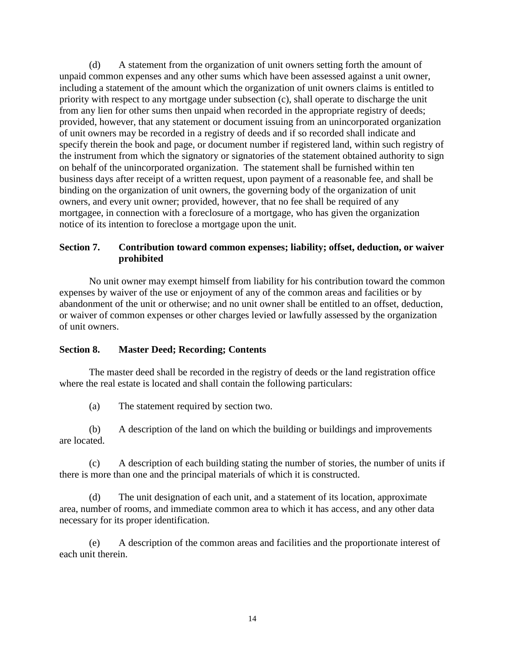(d) A statement from the organization of unit owners setting forth the amount of unpaid common expenses and any other sums which have been assessed against a unit owner, including a statement of the amount which the organization of unit owners claims is entitled to priority with respect to any mortgage under subsection (c), shall operate to discharge the unit from any lien for other sums then unpaid when recorded in the appropriate registry of deeds; provided, however, that any statement or document issuing from an unincorporated organization of unit owners may be recorded in a registry of deeds and if so recorded shall indicate and specify therein the book and page, or document number if registered land, within such registry of the instrument from which the signatory or signatories of the statement obtained authority to sign on behalf of the unincorporated organization. The statement shall be furnished within ten business days after receipt of a written request, upon payment of a reasonable fee, and shall be binding on the organization of unit owners, the governing body of the organization of unit owners, and every unit owner; provided, however, that no fee shall be required of any mortgagee, in connection with a foreclosure of a mortgage, who has given the organization notice of its intention to foreclose a mortgage upon the unit.

# **Section 7. Contribution toward common expenses; liability; offset, deduction, or waiver prohibited**

No unit owner may exempt himself from liability for his contribution toward the common expenses by waiver of the use or enjoyment of any of the common areas and facilities or by abandonment of the unit or otherwise; and no unit owner shall be entitled to an offset, deduction, or waiver of common expenses or other charges levied or lawfully assessed by the organization of unit owners.

# **Section 8. Master Deed; Recording; Contents**

The master deed shall be recorded in the registry of deeds or the land registration office where the real estate is located and shall contain the following particulars:

(a) The statement required by section two.

(b) A description of the land on which the building or buildings and improvements are located.

(c) A description of each building stating the number of stories, the number of units if there is more than one and the principal materials of which it is constructed.

(d) The unit designation of each unit, and a statement of its location, approximate area, number of rooms, and immediate common area to which it has access, and any other data necessary for its proper identification.

(e) A description of the common areas and facilities and the proportionate interest of each unit therein.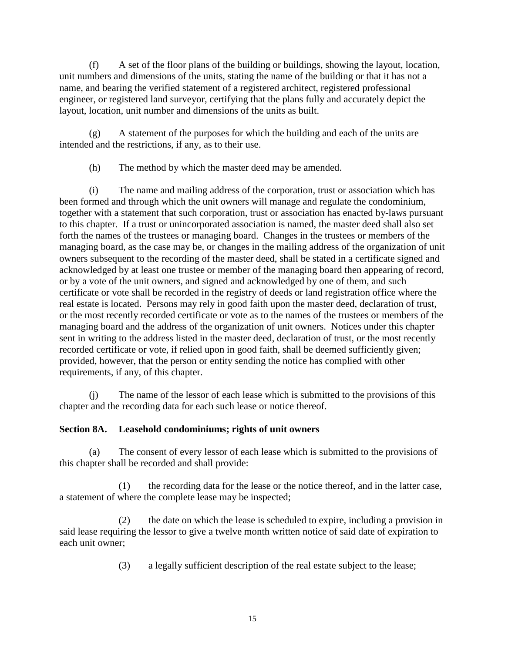(f) A set of the floor plans of the building or buildings, showing the layout, location, unit numbers and dimensions of the units, stating the name of the building or that it has not a name, and bearing the verified statement of a registered architect, registered professional engineer, or registered land surveyor, certifying that the plans fully and accurately depict the layout, location, unit number and dimensions of the units as built.

(g) A statement of the purposes for which the building and each of the units are intended and the restrictions, if any, as to their use.

(h) The method by which the master deed may be amended.

(i) The name and mailing address of the corporation, trust or association which has been formed and through which the unit owners will manage and regulate the condominium, together with a statement that such corporation, trust or association has enacted by-laws pursuant to this chapter. If a trust or unincorporated association is named, the master deed shall also set forth the names of the trustees or managing board. Changes in the trustees or members of the managing board, as the case may be, or changes in the mailing address of the organization of unit owners subsequent to the recording of the master deed, shall be stated in a certificate signed and acknowledged by at least one trustee or member of the managing board then appearing of record, or by a vote of the unit owners, and signed and acknowledged by one of them, and such certificate or vote shall be recorded in the registry of deeds or land registration office where the real estate is located. Persons may rely in good faith upon the master deed, declaration of trust, or the most recently recorded certificate or vote as to the names of the trustees or members of the managing board and the address of the organization of unit owners. Notices under this chapter sent in writing to the address listed in the master deed, declaration of trust, or the most recently recorded certificate or vote, if relied upon in good faith, shall be deemed sufficiently given; provided, however, that the person or entity sending the notice has complied with other requirements, if any, of this chapter.

(j) The name of the lessor of each lease which is submitted to the provisions of this chapter and the recording data for each such lease or notice thereof.

# **Section 8A. Leasehold condominiums; rights of unit owners**

(a) The consent of every lessor of each lease which is submitted to the provisions of this chapter shall be recorded and shall provide:

(1) the recording data for the lease or the notice thereof, and in the latter case, a statement of where the complete lease may be inspected;

(2) the date on which the lease is scheduled to expire, including a provision in said lease requiring the lessor to give a twelve month written notice of said date of expiration to each unit owner;

(3) a legally sufficient description of the real estate subject to the lease;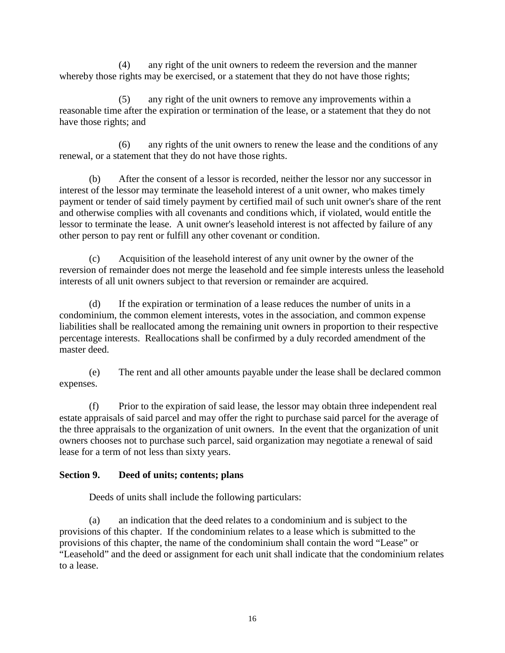(4) any right of the unit owners to redeem the reversion and the manner whereby those rights may be exercised, or a statement that they do not have those rights;

(5) any right of the unit owners to remove any improvements within a reasonable time after the expiration or termination of the lease, or a statement that they do not have those rights; and

(6) any rights of the unit owners to renew the lease and the conditions of any renewal, or a statement that they do not have those rights.

(b) After the consent of a lessor is recorded, neither the lessor nor any successor in interest of the lessor may terminate the leasehold interest of a unit owner, who makes timely payment or tender of said timely payment by certified mail of such unit owner's share of the rent and otherwise complies with all covenants and conditions which, if violated, would entitle the lessor to terminate the lease. A unit owner's leasehold interest is not affected by failure of any other person to pay rent or fulfill any other covenant or condition.

(c) Acquisition of the leasehold interest of any unit owner by the owner of the reversion of remainder does not merge the leasehold and fee simple interests unless the leasehold interests of all unit owners subject to that reversion or remainder are acquired.

(d) If the expiration or termination of a lease reduces the number of units in a condominium, the common element interests, votes in the association, and common expense liabilities shall be reallocated among the remaining unit owners in proportion to their respective percentage interests. Reallocations shall be confirmed by a duly recorded amendment of the master deed.

(e) The rent and all other amounts payable under the lease shall be declared common expenses.

(f) Prior to the expiration of said lease, the lessor may obtain three independent real estate appraisals of said parcel and may offer the right to purchase said parcel for the average of the three appraisals to the organization of unit owners. In the event that the organization of unit owners chooses not to purchase such parcel, said organization may negotiate a renewal of said lease for a term of not less than sixty years.

# **Section 9. Deed of units; contents; plans**

Deeds of units shall include the following particulars:

(a) an indication that the deed relates to a condominium and is subject to the provisions of this chapter. If the condominium relates to a lease which is submitted to the provisions of this chapter, the name of the condominium shall contain the word "Lease" or "Leasehold" and the deed or assignment for each unit shall indicate that the condominium relates to a lease.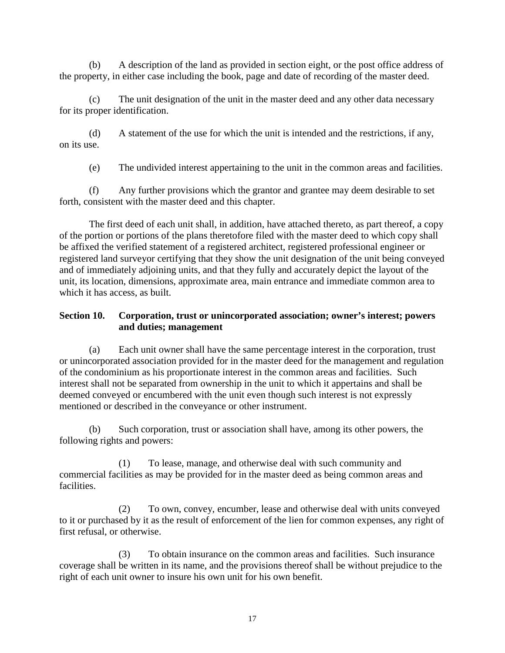(b) A description of the land as provided in section eight, or the post office address of the property, in either case including the book, page and date of recording of the master deed.

(c) The unit designation of the unit in the master deed and any other data necessary for its proper identification.

(d) A statement of the use for which the unit is intended and the restrictions, if any, on its use.

(e) The undivided interest appertaining to the unit in the common areas and facilities.

(f) Any further provisions which the grantor and grantee may deem desirable to set forth, consistent with the master deed and this chapter.

The first deed of each unit shall, in addition, have attached thereto, as part thereof, a copy of the portion or portions of the plans theretofore filed with the master deed to which copy shall be affixed the verified statement of a registered architect, registered professional engineer or registered land surveyor certifying that they show the unit designation of the unit being conveyed and of immediately adjoining units, and that they fully and accurately depict the layout of the unit, its location, dimensions, approximate area, main entrance and immediate common area to which it has access, as built.

# **Section 10. Corporation, trust or unincorporated association; owner's interest; powers and duties; management**

(a) Each unit owner shall have the same percentage interest in the corporation, trust or unincorporated association provided for in the master deed for the management and regulation of the condominium as his proportionate interest in the common areas and facilities. Such interest shall not be separated from ownership in the unit to which it appertains and shall be deemed conveyed or encumbered with the unit even though such interest is not expressly mentioned or described in the conveyance or other instrument.

(b) Such corporation, trust or association shall have, among its other powers, the following rights and powers:

(1) To lease, manage, and otherwise deal with such community and commercial facilities as may be provided for in the master deed as being common areas and facilities.

(2) To own, convey, encumber, lease and otherwise deal with units conveyed to it or purchased by it as the result of enforcement of the lien for common expenses, any right of first refusal, or otherwise.

(3) To obtain insurance on the common areas and facilities. Such insurance coverage shall be written in its name, and the provisions thereof shall be without prejudice to the right of each unit owner to insure his own unit for his own benefit.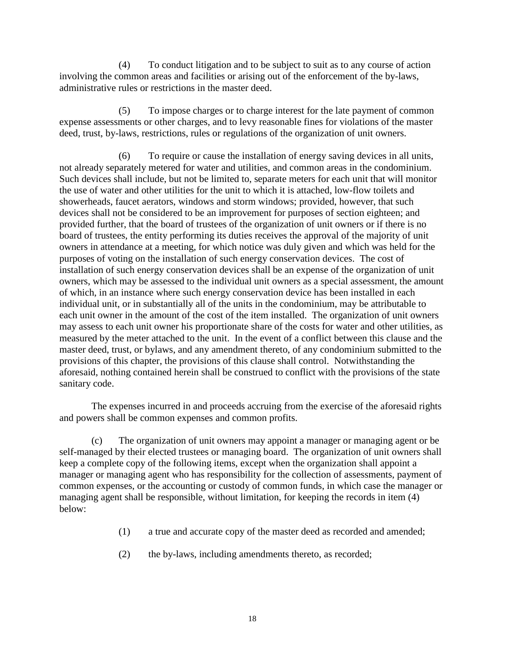(4) To conduct litigation and to be subject to suit as to any course of action involving the common areas and facilities or arising out of the enforcement of the by-laws, administrative rules or restrictions in the master deed.

(5) To impose charges or to charge interest for the late payment of common expense assessments or other charges, and to levy reasonable fines for violations of the master deed, trust, by-laws, restrictions, rules or regulations of the organization of unit owners.

(6) To require or cause the installation of energy saving devices in all units, not already separately metered for water and utilities, and common areas in the condominium. Such devices shall include, but not be limited to, separate meters for each unit that will monitor the use of water and other utilities for the unit to which it is attached, low-flow toilets and showerheads, faucet aerators, windows and storm windows; provided, however, that such devices shall not be considered to be an improvement for purposes of section eighteen; and provided further, that the board of trustees of the organization of unit owners or if there is no board of trustees, the entity performing its duties receives the approval of the majority of unit owners in attendance at a meeting, for which notice was duly given and which was held for the purposes of voting on the installation of such energy conservation devices. The cost of installation of such energy conservation devices shall be an expense of the organization of unit owners, which may be assessed to the individual unit owners as a special assessment, the amount of which, in an instance where such energy conservation device has been installed in each individual unit, or in substantially all of the units in the condominium, may be attributable to each unit owner in the amount of the cost of the item installed. The organization of unit owners may assess to each unit owner his proportionate share of the costs for water and other utilities, as measured by the meter attached to the unit. In the event of a conflict between this clause and the master deed, trust, or bylaws, and any amendment thereto, of any condominium submitted to the provisions of this chapter, the provisions of this clause shall control. Notwithstanding the aforesaid, nothing contained herein shall be construed to conflict with the provisions of the state sanitary code.

The expenses incurred in and proceeds accruing from the exercise of the aforesaid rights and powers shall be common expenses and common profits.

(c) The organization of unit owners may appoint a manager or managing agent or be self-managed by their elected trustees or managing board. The organization of unit owners shall keep a complete copy of the following items, except when the organization shall appoint a manager or managing agent who has responsibility for the collection of assessments, payment of common expenses, or the accounting or custody of common funds, in which case the manager or managing agent shall be responsible, without limitation, for keeping the records in item (4) below:

- (1) a true and accurate copy of the master deed as recorded and amended;
- (2) the by-laws, including amendments thereto, as recorded;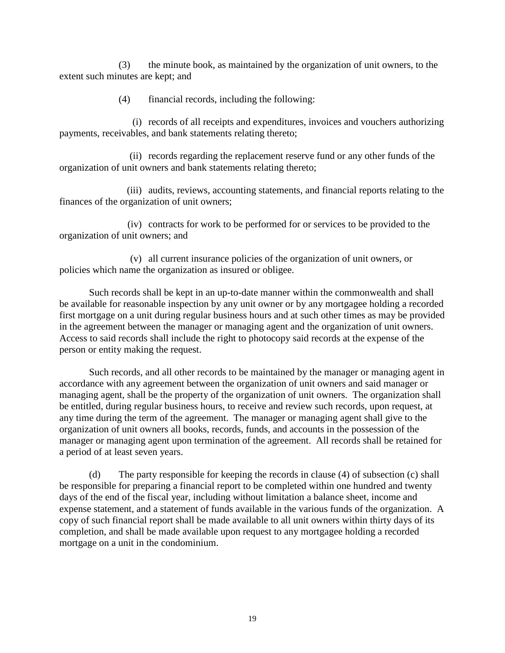(3) the minute book, as maintained by the organization of unit owners, to the extent such minutes are kept; and

(4) financial records, including the following:

(i) records of all receipts and expenditures, invoices and vouchers authorizing payments, receivables, and bank statements relating thereto;

(ii) records regarding the replacement reserve fund or any other funds of the organization of unit owners and bank statements relating thereto;

(iii) audits, reviews, accounting statements, and financial reports relating to the finances of the organization of unit owners;

(iv) contracts for work to be performed for or services to be provided to the organization of unit owners; and

(v) all current insurance policies of the organization of unit owners, or policies which name the organization as insured or obligee.

Such records shall be kept in an up-to-date manner within the commonwealth and shall be available for reasonable inspection by any unit owner or by any mortgagee holding a recorded first mortgage on a unit during regular business hours and at such other times as may be provided in the agreement between the manager or managing agent and the organization of unit owners. Access to said records shall include the right to photocopy said records at the expense of the person or entity making the request.

Such records, and all other records to be maintained by the manager or managing agent in accordance with any agreement between the organization of unit owners and said manager or managing agent, shall be the property of the organization of unit owners. The organization shall be entitled, during regular business hours, to receive and review such records, upon request, at any time during the term of the agreement. The manager or managing agent shall give to the organization of unit owners all books, records, funds, and accounts in the possession of the manager or managing agent upon termination of the agreement. All records shall be retained for a period of at least seven years.

(d) The party responsible for keeping the records in clause (4) of subsection (c) shall be responsible for preparing a financial report to be completed within one hundred and twenty days of the end of the fiscal year, including without limitation a balance sheet, income and expense statement, and a statement of funds available in the various funds of the organization. A copy of such financial report shall be made available to all unit owners within thirty days of its completion, and shall be made available upon request to any mortgagee holding a recorded mortgage on a unit in the condominium.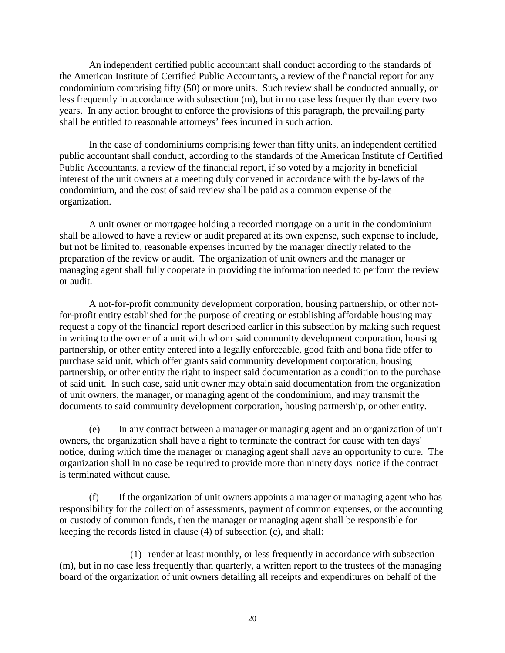An independent certified public accountant shall conduct according to the standards of the American Institute of Certified Public Accountants, a review of the financial report for any condominium comprising fifty (50) or more units. Such review shall be conducted annually, or less frequently in accordance with subsection (m), but in no case less frequently than every two years. In any action brought to enforce the provisions of this paragraph, the prevailing party shall be entitled to reasonable attorneys' fees incurred in such action.

In the case of condominiums comprising fewer than fifty units, an independent certified public accountant shall conduct, according to the standards of the American Institute of Certified Public Accountants, a review of the financial report, if so voted by a majority in beneficial interest of the unit owners at a meeting duly convened in accordance with the by-laws of the condominium, and the cost of said review shall be paid as a common expense of the organization.

A unit owner or mortgagee holding a recorded mortgage on a unit in the condominium shall be allowed to have a review or audit prepared at its own expense, such expense to include, but not be limited to, reasonable expenses incurred by the manager directly related to the preparation of the review or audit. The organization of unit owners and the manager or managing agent shall fully cooperate in providing the information needed to perform the review or audit.

A not-for-profit community development corporation, housing partnership, or other notfor-profit entity established for the purpose of creating or establishing affordable housing may request a copy of the financial report described earlier in this subsection by making such request in writing to the owner of a unit with whom said community development corporation, housing partnership, or other entity entered into a legally enforceable, good faith and bona fide offer to purchase said unit, which offer grants said community development corporation, housing partnership, or other entity the right to inspect said documentation as a condition to the purchase of said unit. In such case, said unit owner may obtain said documentation from the organization of unit owners, the manager, or managing agent of the condominium, and may transmit the documents to said community development corporation, housing partnership, or other entity.

(e) In any contract between a manager or managing agent and an organization of unit owners, the organization shall have a right to terminate the contract for cause with ten days' notice, during which time the manager or managing agent shall have an opportunity to cure. The organization shall in no case be required to provide more than ninety days' notice if the contract is terminated without cause.

(f) If the organization of unit owners appoints a manager or managing agent who has responsibility for the collection of assessments, payment of common expenses, or the accounting or custody of common funds, then the manager or managing agent shall be responsible for keeping the records listed in clause (4) of subsection (c), and shall:

(1) render at least monthly, or less frequently in accordance with subsection (m), but in no case less frequently than quarterly, a written report to the trustees of the managing board of the organization of unit owners detailing all receipts and expenditures on behalf of the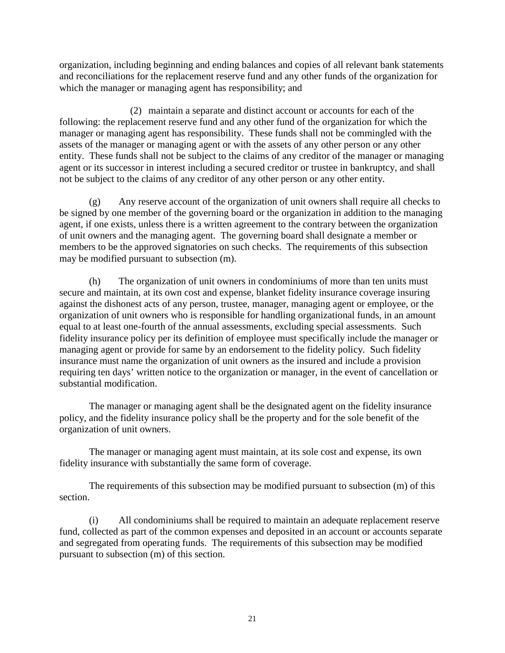organization, including beginning and ending balances and copies of all relevant bank statements and reconciliations for the replacement reserve fund and any other funds of the organization for which the manager or managing agent has responsibility; and

(2) maintain a separate and distinct account or accounts for each of the following: the replacement reserve fund and any other fund of the organization for which the manager or managing agent has responsibility. These funds shall not be commingled with the assets of the manager or managing agent or with the assets of any other person or any other entity. These funds shall not be subject to the claims of any creditor of the manager or managing agent or its successor in interest including a secured creditor or trustee in bankruptcy, and shall not be subject to the claims of any creditor of any other person or any other entity.

(g) Any reserve account of the organization of unit owners shall require all checks to be signed by one member of the governing board or the organization in addition to the managing agent, if one exists, unless there is a written agreement to the contrary between the organization of unit owners and the managing agent. The governing board shall designate a member or members to be the approved signatories on such checks. The requirements of this subsection may be modified pursuant to subsection (m).

(h) The organization of unit owners in condominiums of more than ten units must secure and maintain, at its own cost and expense, blanket fidelity insurance coverage insuring against the dishonest acts of any person, trustee, manager, managing agent or employee, or the organization of unit owners who is responsible for handling organizational funds, in an amount equal to at least one-fourth of the annual assessments, excluding special assessments. Such fidelity insurance policy per its definition of employee must specifically include the manager or managing agent or provide for same by an endorsement to the fidelity policy. Such fidelity insurance must name the organization of unit owners as the insured and include a provision requiring ten days' written notice to the organization or manager, in the event of cancellation or substantial modification.

The manager or managing agent shall be the designated agent on the fidelity insurance policy, and the fidelity insurance policy shall be the property and for the sole benefit of the organization of unit owners.

The manager or managing agent must maintain, at its sole cost and expense, its own fidelity insurance with substantially the same form of coverage.

The requirements of this subsection may be modified pursuant to subsection (m) of this section.

(i) All condominiums shall be required to maintain an adequate replacement reserve fund, collected as part of the common expenses and deposited in an account or accounts separate and segregated from operating funds. The requirements of this subsection may be modified pursuant to subsection (m) of this section.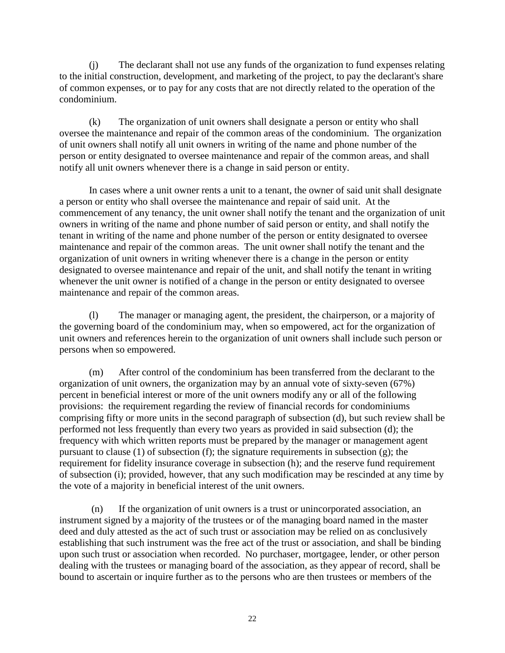(j) The declarant shall not use any funds of the organization to fund expenses relating to the initial construction, development, and marketing of the project, to pay the declarant's share of common expenses, or to pay for any costs that are not directly related to the operation of the condominium.

(k) The organization of unit owners shall designate a person or entity who shall oversee the maintenance and repair of the common areas of the condominium. The organization of unit owners shall notify all unit owners in writing of the name and phone number of the person or entity designated to oversee maintenance and repair of the common areas, and shall notify all unit owners whenever there is a change in said person or entity.

In cases where a unit owner rents a unit to a tenant, the owner of said unit shall designate a person or entity who shall oversee the maintenance and repair of said unit. At the commencement of any tenancy, the unit owner shall notify the tenant and the organization of unit owners in writing of the name and phone number of said person or entity, and shall notify the tenant in writing of the name and phone number of the person or entity designated to oversee maintenance and repair of the common areas. The unit owner shall notify the tenant and the organization of unit owners in writing whenever there is a change in the person or entity designated to oversee maintenance and repair of the unit, and shall notify the tenant in writing whenever the unit owner is notified of a change in the person or entity designated to oversee maintenance and repair of the common areas.

(l) The manager or managing agent, the president, the chairperson, or a majority of the governing board of the condominium may, when so empowered, act for the organization of unit owners and references herein to the organization of unit owners shall include such person or persons when so empowered.

(m) After control of the condominium has been transferred from the declarant to the organization of unit owners, the organization may by an annual vote of sixty-seven (67%) percent in beneficial interest or more of the unit owners modify any or all of the following provisions: the requirement regarding the review of financial records for condominiums comprising fifty or more units in the second paragraph of subsection (d), but such review shall be performed not less frequently than every two years as provided in said subsection (d); the frequency with which written reports must be prepared by the manager or management agent pursuant to clause (1) of subsection (f); the signature requirements in subsection (g); the requirement for fidelity insurance coverage in subsection (h); and the reserve fund requirement of subsection (i); provided, however, that any such modification may be rescinded at any time by the vote of a majority in beneficial interest of the unit owners.

(n) If the organization of unit owners is a trust or unincorporated association, an instrument signed by a majority of the trustees or of the managing board named in the master deed and duly attested as the act of such trust or association may be relied on as conclusively establishing that such instrument was the free act of the trust or association, and shall be binding upon such trust or association when recorded. No purchaser, mortgagee, lender, or other person dealing with the trustees or managing board of the association, as they appear of record, shall be bound to ascertain or inquire further as to the persons who are then trustees or members of the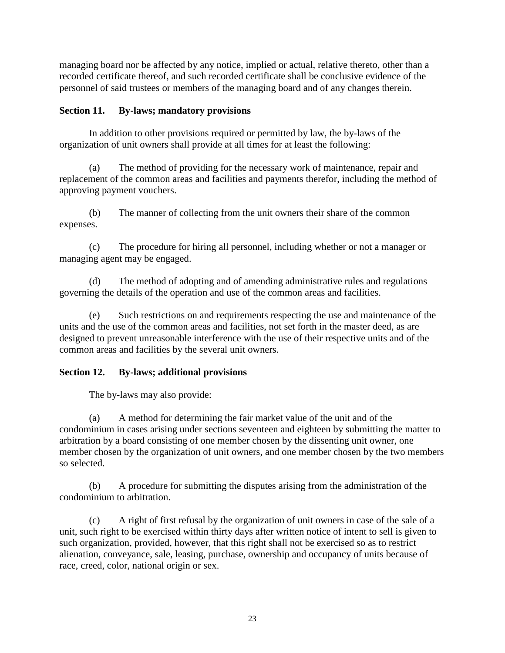managing board nor be affected by any notice, implied or actual, relative thereto, other than a recorded certificate thereof, and such recorded certificate shall be conclusive evidence of the personnel of said trustees or members of the managing board and of any changes therein.

# **Section 11. By-laws; mandatory provisions**

In addition to other provisions required or permitted by law, the by-laws of the organization of unit owners shall provide at all times for at least the following:

(a) The method of providing for the necessary work of maintenance, repair and replacement of the common areas and facilities and payments therefor, including the method of approving payment vouchers.

(b) The manner of collecting from the unit owners their share of the common expenses.

(c) The procedure for hiring all personnel, including whether or not a manager or managing agent may be engaged.

(d) The method of adopting and of amending administrative rules and regulations governing the details of the operation and use of the common areas and facilities.

(e) Such restrictions on and requirements respecting the use and maintenance of the units and the use of the common areas and facilities, not set forth in the master deed, as are designed to prevent unreasonable interference with the use of their respective units and of the common areas and facilities by the several unit owners.

# **Section 12. By-laws; additional provisions**

The by-laws may also provide:

(a) A method for determining the fair market value of the unit and of the condominium in cases arising under sections seventeen and eighteen by submitting the matter to arbitration by a board consisting of one member chosen by the dissenting unit owner, one member chosen by the organization of unit owners, and one member chosen by the two members so selected.

(b) A procedure for submitting the disputes arising from the administration of the condominium to arbitration.

(c) A right of first refusal by the organization of unit owners in case of the sale of a unit, such right to be exercised within thirty days after written notice of intent to sell is given to such organization, provided, however, that this right shall not be exercised so as to restrict alienation, conveyance, sale, leasing, purchase, ownership and occupancy of units because of race, creed, color, national origin or sex.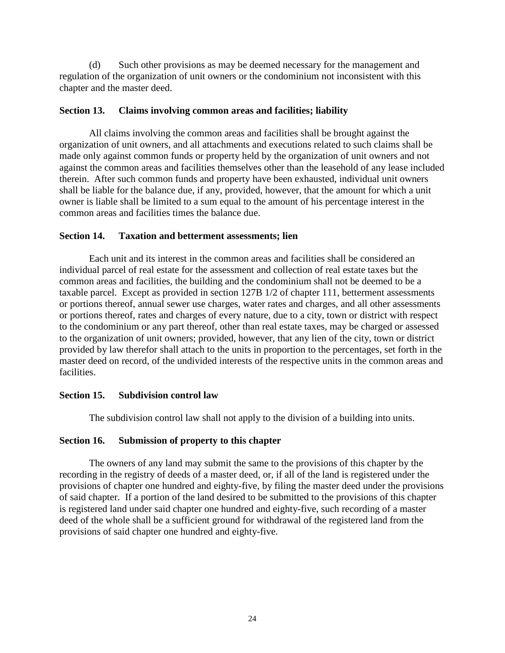(d) Such other provisions as may be deemed necessary for the management and regulation of the organization of unit owners or the condominium not inconsistent with this chapter and the master deed.

## **Section 13. Claims involving common areas and facilities; liability**

All claims involving the common areas and facilities shall be brought against the organization of unit owners, and all attachments and executions related to such claims shall be made only against common funds or property held by the organization of unit owners and not against the common areas and facilities themselves other than the leasehold of any lease included therein. After such common funds and property have been exhausted, individual unit owners shall be liable for the balance due, if any, provided, however, that the amount for which a unit owner is liable shall be limited to a sum equal to the amount of his percentage interest in the common areas and facilities times the balance due.

## **Section 14. Taxation and betterment assessments; lien**

Each unit and its interest in the common areas and facilities shall be considered an individual parcel of real estate for the assessment and collection of real estate taxes but the common areas and facilities, the building and the condominium shall not be deemed to be a taxable parcel. Except as provided in section 127B 1/2 of chapter 111, betterment assessments or portions thereof, annual sewer use charges, water rates and charges, and all other assessments or portions thereof, rates and charges of every nature, due to a city, town or district with respect to the condominium or any part thereof, other than real estate taxes, may be charged or assessed to the organization of unit owners; provided, however, that any lien of the city, town or district provided by law therefor shall attach to the units in proportion to the percentages, set forth in the master deed on record, of the undivided interests of the respective units in the common areas and facilities.

# **Section 15. Subdivision control law**

The subdivision control law shall not apply to the division of a building into units.

# **Section 16. Submission of property to this chapter**

The owners of any land may submit the same to the provisions of this chapter by the recording in the registry of deeds of a master deed, or, if all of the land is registered under the provisions of chapter one hundred and eighty-five, by filing the master deed under the provisions of said chapter. If a portion of the land desired to be submitted to the provisions of this chapter is registered land under said chapter one hundred and eighty-five, such recording of a master deed of the whole shall be a sufficient ground for withdrawal of the registered land from the provisions of said chapter one hundred and eighty-five.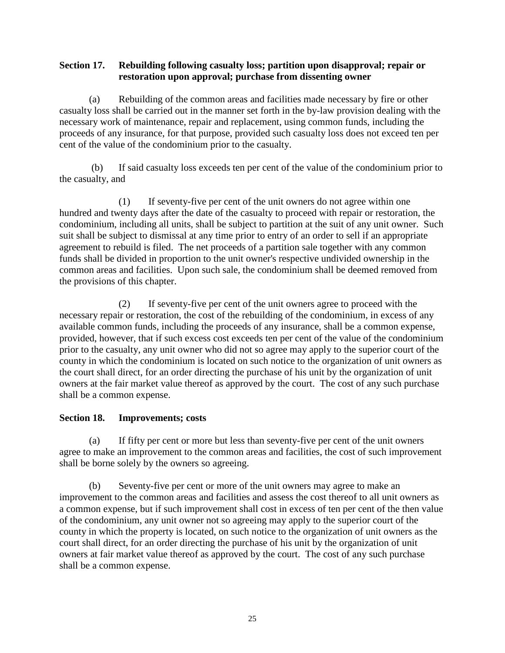# **Section 17. Rebuilding following casualty loss; partition upon disapproval; repair or restoration upon approval; purchase from dissenting owner**

(a) Rebuilding of the common areas and facilities made necessary by fire or other casualty loss shall be carried out in the manner set forth in the by-law provision dealing with the necessary work of maintenance, repair and replacement, using common funds, including the proceeds of any insurance, for that purpose, provided such casualty loss does not exceed ten per cent of the value of the condominium prior to the casualty.

(b) If said casualty loss exceeds ten per cent of the value of the condominium prior to the casualty, and

(1) If seventy-five per cent of the unit owners do not agree within one hundred and twenty days after the date of the casualty to proceed with repair or restoration, the condominium, including all units, shall be subject to partition at the suit of any unit owner. Such suit shall be subject to dismissal at any time prior to entry of an order to sell if an appropriate agreement to rebuild is filed. The net proceeds of a partition sale together with any common funds shall be divided in proportion to the unit owner's respective undivided ownership in the common areas and facilities. Upon such sale, the condominium shall be deemed removed from the provisions of this chapter.

(2) If seventy-five per cent of the unit owners agree to proceed with the necessary repair or restoration, the cost of the rebuilding of the condominium, in excess of any available common funds, including the proceeds of any insurance, shall be a common expense, provided, however, that if such excess cost exceeds ten per cent of the value of the condominium prior to the casualty, any unit owner who did not so agree may apply to the superior court of the county in which the condominium is located on such notice to the organization of unit owners as the court shall direct, for an order directing the purchase of his unit by the organization of unit owners at the fair market value thereof as approved by the court. The cost of any such purchase shall be a common expense.

# **Section 18. Improvements; costs**

(a) If fifty per cent or more but less than seventy-five per cent of the unit owners agree to make an improvement to the common areas and facilities, the cost of such improvement shall be borne solely by the owners so agreeing.

(b) Seventy-five per cent or more of the unit owners may agree to make an improvement to the common areas and facilities and assess the cost thereof to all unit owners as a common expense, but if such improvement shall cost in excess of ten per cent of the then value of the condominium, any unit owner not so agreeing may apply to the superior court of the county in which the property is located, on such notice to the organization of unit owners as the court shall direct, for an order directing the purchase of his unit by the organization of unit owners at fair market value thereof as approved by the court. The cost of any such purchase shall be a common expense.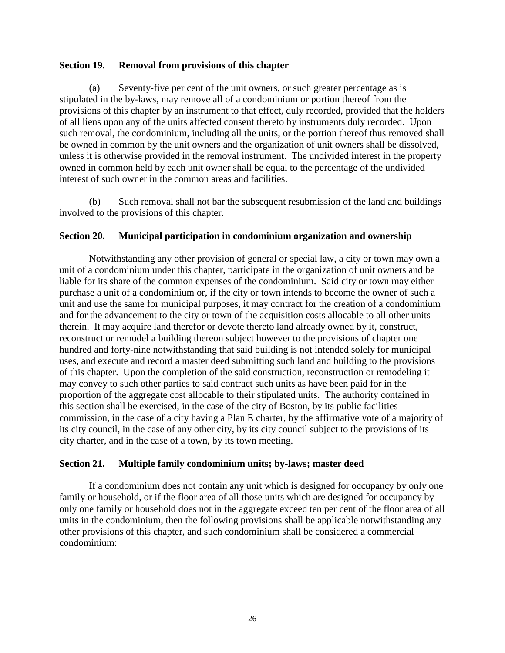## **Section 19. Removal from provisions of this chapter**

(a) Seventy-five per cent of the unit owners, or such greater percentage as is stipulated in the by-laws, may remove all of a condominium or portion thereof from the provisions of this chapter by an instrument to that effect, duly recorded, provided that the holders of all liens upon any of the units affected consent thereto by instruments duly recorded. Upon such removal, the condominium, including all the units, or the portion thereof thus removed shall be owned in common by the unit owners and the organization of unit owners shall be dissolved, unless it is otherwise provided in the removal instrument. The undivided interest in the property owned in common held by each unit owner shall be equal to the percentage of the undivided interest of such owner in the common areas and facilities.

(b) Such removal shall not bar the subsequent resubmission of the land and buildings involved to the provisions of this chapter.

# **Section 20. Municipal participation in condominium organization and ownership**

Notwithstanding any other provision of general or special law, a city or town may own a unit of a condominium under this chapter, participate in the organization of unit owners and be liable for its share of the common expenses of the condominium. Said city or town may either purchase a unit of a condominium or, if the city or town intends to become the owner of such a unit and use the same for municipal purposes, it may contract for the creation of a condominium and for the advancement to the city or town of the acquisition costs allocable to all other units therein. It may acquire land therefor or devote thereto land already owned by it, construct, reconstruct or remodel a building thereon subject however to the provisions of chapter one hundred and forty-nine notwithstanding that said building is not intended solely for municipal uses, and execute and record a master deed submitting such land and building to the provisions of this chapter. Upon the completion of the said construction, reconstruction or remodeling it may convey to such other parties to said contract such units as have been paid for in the proportion of the aggregate cost allocable to their stipulated units. The authority contained in this section shall be exercised, in the case of the city of Boston, by its public facilities commission, in the case of a city having a Plan E charter, by the affirmative vote of a majority of its city council, in the case of any other city, by its city council subject to the provisions of its city charter, and in the case of a town, by its town meeting.

#### **Section 21. Multiple family condominium units; by-laws; master deed**

If a condominium does not contain any unit which is designed for occupancy by only one family or household, or if the floor area of all those units which are designed for occupancy by only one family or household does not in the aggregate exceed ten per cent of the floor area of all units in the condominium, then the following provisions shall be applicable notwithstanding any other provisions of this chapter, and such condominium shall be considered a commercial condominium: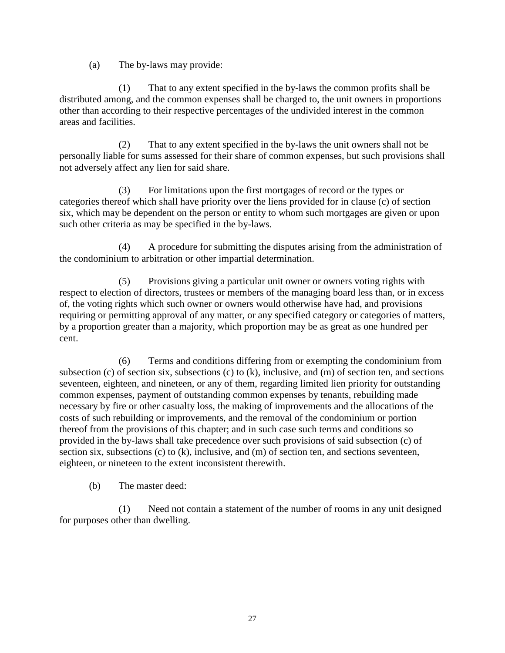(a) The by-laws may provide:

(1) That to any extent specified in the by-laws the common profits shall be distributed among, and the common expenses shall be charged to, the unit owners in proportions other than according to their respective percentages of the undivided interest in the common areas and facilities.

(2) That to any extent specified in the by-laws the unit owners shall not be personally liable for sums assessed for their share of common expenses, but such provisions shall not adversely affect any lien for said share.

(3) For limitations upon the first mortgages of record or the types or categories thereof which shall have priority over the liens provided for in clause (c) of section six, which may be dependent on the person or entity to whom such mortgages are given or upon such other criteria as may be specified in the by-laws.

(4) A procedure for submitting the disputes arising from the administration of the condominium to arbitration or other impartial determination.

(5) Provisions giving a particular unit owner or owners voting rights with respect to election of directors, trustees or members of the managing board less than, or in excess of, the voting rights which such owner or owners would otherwise have had, and provisions requiring or permitting approval of any matter, or any specified category or categories of matters, by a proportion greater than a majority, which proportion may be as great as one hundred per cent.

(6) Terms and conditions differing from or exempting the condominium from subsection (c) of section six, subsections (c) to (k), inclusive, and (m) of section ten, and sections seventeen, eighteen, and nineteen, or any of them, regarding limited lien priority for outstanding common expenses, payment of outstanding common expenses by tenants, rebuilding made necessary by fire or other casualty loss, the making of improvements and the allocations of the costs of such rebuilding or improvements, and the removal of the condominium or portion thereof from the provisions of this chapter; and in such case such terms and conditions so provided in the by-laws shall take precedence over such provisions of said subsection (c) of section six, subsections (c) to (k), inclusive, and (m) of section ten, and sections seventeen, eighteen, or nineteen to the extent inconsistent therewith.

(b) The master deed:

(1) Need not contain a statement of the number of rooms in any unit designed for purposes other than dwelling.